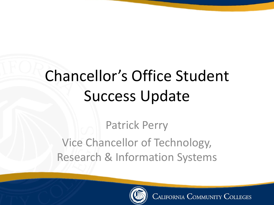# Chancellor's Office Student Success Update

Patrick Perry Vice Chancellor of Technology, Research & Information Systems

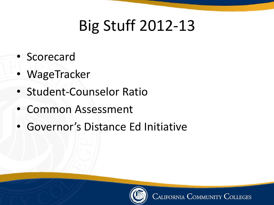# Big Stuff 2012-13

- Scorecard
- WageTracker
- Student-Counselor Ratio
- Common Assessment
- Governor's Distance Ed Initiative

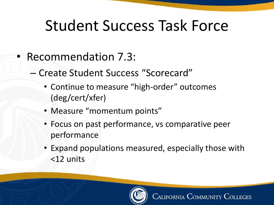## Student Success Task Force

- Recommendation 7.3:
	- Create Student Success "Scorecard"
		- Continue to measure "high-order" outcomes (deg/cert/xfer)
		- Measure "momentum points"
		- Focus on past performance, vs comparative peer performance
		- Expand populations measured, especially those with <12 units

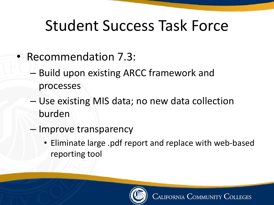## Student Success Task Force

- Recommendation 7.3:
	- Build upon existing ARCC framework and processes
	- Use existing MIS data; no new data collection burden
	- Improve transparency
		- Eliminate large .pdf report and replace with web-based reporting tool

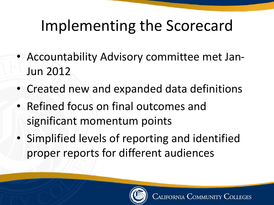# Implementing the Scorecard

- Accountability Advisory committee met Jan-Jun 2012
- Created new and expanded data definitions
- Refined focus on final outcomes and significant momentum points
- Simplified levels of reporting and identified proper reports for different audiences

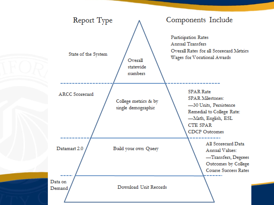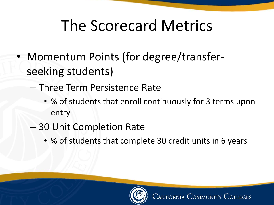- Momentum Points (for degree/transferseeking students)
	- Three Term Persistence Rate
		- % of students that enroll continuously for 3 terms upon entry
	- 30 Unit Completion Rate
		- % of students that complete 30 credit units in 6 years

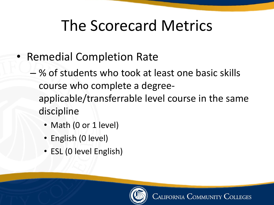- Remedial Completion Rate
	- % of students who took at least one basic skills course who complete a degreeapplicable/transferrable level course in the same discipline
		- Math (0 or 1 level)
		- English (0 level)
		- ESL (0 level English)

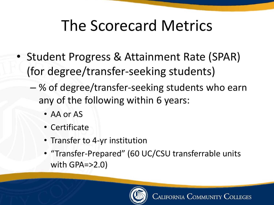- Student Progress & Attainment Rate (SPAR) (for degree/transfer-seeking students)
	- % of degree/transfer-seeking students who earn any of the following within 6 years:
		- AA or AS
		- Certificate
		- Transfer to 4-yr institution
		- "Transfer-Prepared" (60 UC/CSU transferrable units with GPA=>2.0)

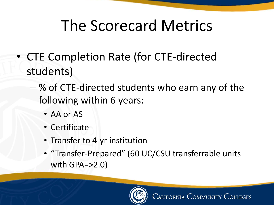- CTE Completion Rate (for CTE-directed students)
	- % of CTE-directed students who earn any of the following within 6 years:
		- AA or AS
		- Certificate
		- Transfer to 4-yr institution
		- "Transfer-Prepared" (60 UC/CSU transferrable units with GPA=>2.0)

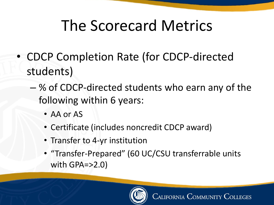- CDCP Completion Rate (for CDCP-directed students)
	- % of CDCP-directed students who earn any of the following within 6 years:
		- AA or AS
		- Certificate (includes noncredit CDCP award)
		- Transfer to 4-yr institution
		- "Transfer-Prepared" (60 UC/CSU transferrable units with GPA=>2.0)

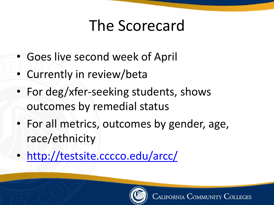#### The Scorecard

- Goes live second week of April
- Currently in review/beta
- For deg/xfer-seeking students, shows outcomes by remedial status
- For all metrics, outcomes by gender, age, race/ethnicity
- <http://testsite.cccco.edu/arcc/>

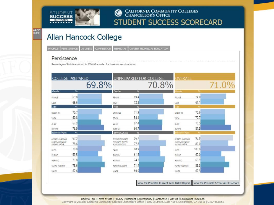

#### CALIFORNIA COMMUNITY COLLEGES<br>CHANCELLOR'S OFFICE STUDENT SUCCESS SCORECARD

#### Allan Hancock College

|  |  |  |  |  | PROFILE PERSISTENCE 30 UNITS COMPLETION REMEDIAL CAREER TECHNICAL EDUCATION |
|--|--|--|--|--|-----------------------------------------------------------------------------|
|--|--|--|--|--|-----------------------------------------------------------------------------|

#### Persistence

ARCC<br>HOME

Percentage of first-time cohort in 2006-07 enrolled for three consecutive terms

|                                    | <b>COLLEGE PREPARED</b> | UNPREPARED FOR COLLEGE             |               | OVERALL                            |       |       |
|------------------------------------|-------------------------|------------------------------------|---------------|------------------------------------|-------|-------|
|                                    | 69.8%                   |                                    | 70.8%         |                                    |       | 71.0% |
| Gender                             | 96                      | Gender                             | 95            | Gender                             |       |       |
| <b>FEMALE</b>                      | 69.8                    | <b>FEMALE</b>                      | 69.4          | FEMALE                             | 74.0  |       |
| MALE                               | 69.6                    | MALE                               | 72.3          | MALE                               | 67.1  |       |
| Age                                | %                       | Age                                | $\frac{1}{2}$ |                                    |       |       |
| UNDER 20                           | 70.7                    | UNDER 20                           | 71.9          | UNDER 20                           | 70.6  |       |
| 20-24                              | 60.8                    | $20 - 24$                          | 54.4          | $20 - 24$                          | 70.7  |       |
| 25-50                              | 67.9                    | 25-50                              | 67.4          | 25-50                              | 70.5  |       |
| OVER 50                            | 76.9                    | OVER 50                            | 66.7          | OVER 50                            | 87.5  |       |
| Ethnicity/Race                     | 96                      | Ethnicity/Race                     | 196           | Ethnioty/Race                      |       |       |
| APRICAN AMERICAN                   | 67.3                    | AFRICAN AMERICAN                   | 56.7          | AFRICAN AMERICAN                   | 93.8  |       |
| AMERICAN INDIANA<br>ALASKAN NATIVE | 78.6                    | AMERICAN INDIAN/<br>ALASKAN NATIVE | 77.8          | AMERICAN INDIAN/<br>ALASKAN NATIVE | 80.0  |       |
| ASIAN.                             | 70.0                    | <b>ASIAN</b>                       | 60.9          | ASWN                               | 100.0 |       |
| <b>FLIPINO</b>                     | 59.5                    | FILIPINO.                          | 61.5          | <b>FILIPINO</b>                    | 60.0  |       |
| HISPANIC                           | 71.8                    | HISPANIC                           | 74.7          | <b>HISPANIC</b>                    | 69.9  |       |
| <b>FACIFIC ISLANDER</b>            | 78.6                    | <b>FACIFIC ISLANDER</b>            | 71.4          | <b>PACIFIC ISLANDER</b>            | 83.3  |       |
| WHITE                              | 67.6                    | WHITE                              | 69.0          | WHITE                              | 67.3  |       |

Back to Top | Terms of Use | Privacy Statement | Accessibility | Contact Us | Visit Us | Complaints | Sitemap<br>Copyright © 2013 by California Community Colleges Chancellor's Office | 1102 Q Street, Suite 4554, Sacramento, C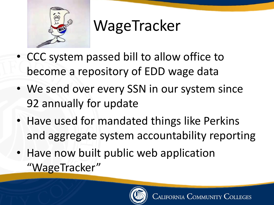

# WageTracker

- CCC system passed bill to allow office to become a repository of EDD wage data
- We send over every SSN in our system since 92 annually for update
- Have used for mandated things like Perkins and aggregate system accountability reporting
- Have now built public web application "WageTracker"

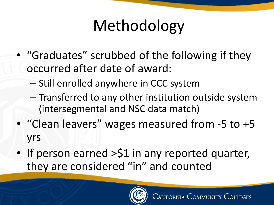# Methodology

- "Graduates" scrubbed of the following if they occurred after date of award:
	- Still enrolled anywhere in CCC system
	- Transferred to any other institution outside system (intersegmental and NSC data match)
- "Clean leavers" wages measured from -5 to +5 yrs
- If person earned >\$1 in any reported quarter, they are considered "in" and counted

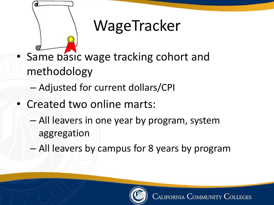

# WageTracker

- Same basic wage tracking cohort and methodology
	- Adjusted for current dollars/CPI
- Created two online marts:
	- All leavers in one year by program, system aggregation
	- All leavers by campus for 8 years by program

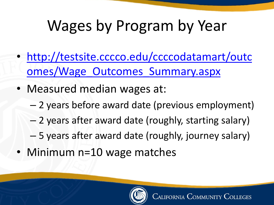# Wages by Program by Year

- [http://testsite.cccco.edu/ccccodatamart/outc](http://testsite.cccco.edu/ccccodatamart/outcomes/Wage_Outcomes_Summary.aspx) omes/Wage\_Outcomes\_Summary.aspx
- Measured median wages at:
	- 2 years before award date (previous employment)
	- 2 years after award date (roughly, starting salary)
	- 5 years after award date (roughly, journey salary)
- Minimum n=10 wage matches

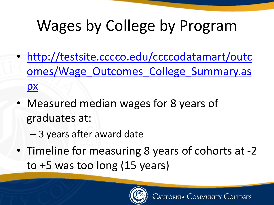# Wages by College by Program

- http://testsite.cccco.edu/ccccodatamart/outc [omes/Wage\\_Outcomes\\_College\\_Summary.as](http://testsite.cccco.edu/ccccodatamart/outcomes/Wage_Outcomes_College_Summary.aspx) px
- Measured median wages for 8 years of graduates at:
	- 3 years after award date
- Timeline for measuring 8 years of cohorts at -2 to +5 was too long (15 years)

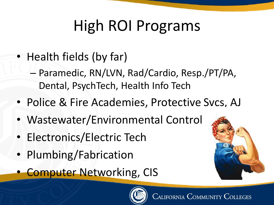# High ROI Programs

- Health fields (by far)
	- Paramedic, RN/LVN, Rad/Cardio, Resp./PT/PA, Dental, PsychTech, Health Info Tech
- Police & Fire Academies, Protective Svcs, AJ
- Wastewater/Environmental Control
- Electronics/Electric Tech
- Plumbing/Fabrication
- **Computer Networking, CIS**



California Community

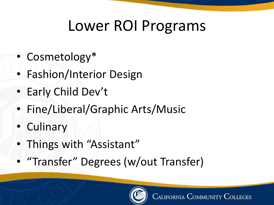## Lower ROI Programs

- Cosmetology\*
- Fashion/Interior Design
- Early Child Dev't
- Fine/Liberal/Graphic Arts/Music
- Culinary
- Things with "Assistant"
- "Transfer" Degrees (w/out Transfer)

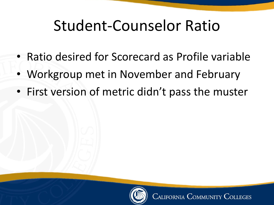#### Student-Counselor Ratio

- Ratio desired for Scorecard as Profile variable
- Workgroup met in November and February
- First version of metric didn't pass the muster

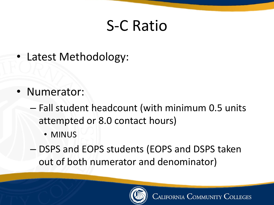#### S-C Ratio

• Latest Methodology:

- Numerator:
	- Fall student headcount (with minimum 0.5 units attempted or 8.0 contact hours)
		- MINUS
	- DSPS and EOPS students (EOPS and DSPS taken out of both numerator and denominator)

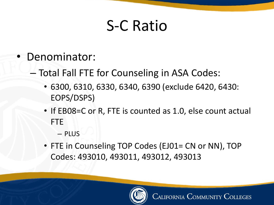#### S-C Ratio

- Denominator:
	- Total Fall FTE for Counseling in ASA Codes:
		- 6300, 6310, 6330, 6340, 6390 (exclude 6420, 6430: EOPS/DSPS)
		- If EB08=C or R, FTE is counted as 1.0, else count actual FTE
			- PLUS
		- FTE in Counseling TOP Codes (EJ01= CN or NN), TOP Codes: 493010, 493011, 493012, 493013

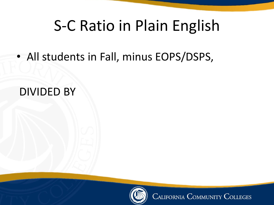#### S-C Ratio in Plain English

• All students in Fall, minus EOPS/DSPS,

#### DIVIDED BY



**CALIFORNIA COMMUNITY COLLEGES**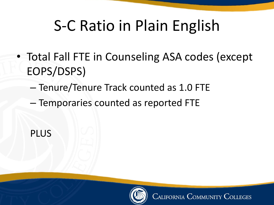## S-C Ratio in Plain English

- Total Fall FTE in Counseling ASA codes (except EOPS/DSPS)
	- Tenure/Tenure Track counted as 1.0 FTE
	- Temporaries counted as reported FTE



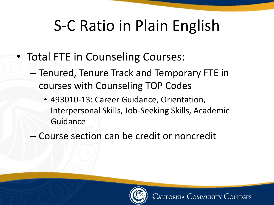# S-C Ratio in Plain English

- Total FTE in Counseling Courses:
	- Tenured, Tenure Track and Temporary FTE in courses with Counseling TOP Codes
		- 493010-13: Career Guidance, Orientation, Interpersonal Skills, Job-Seeking Skills, Academic Guidance
	- Course section can be credit or noncredit

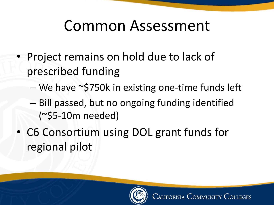#### Common Assessment

- Project remains on hold due to lack of prescribed funding
	- We have ~\$750k in existing one-time funds left
	- Bill passed, but no ongoing funding identified (~\$5-10m needed)
- C6 Consortium using DOL grant funds for regional pilot

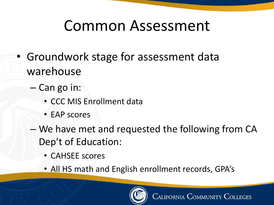#### Common Assessment

- Groundwork stage for assessment data warehouse
	- Can go in:
		- CCC MIS Enrollment data
		- EAP scores
	- We have met and requested the following from CA Dep't of Education:
		- CAHSEE scores
		- All HS math and English enrollment records, GPA's

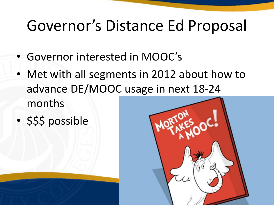#### Governor's Distance Ed Proposal

- Governor interested in MOOC's
- Met with all segments in 2012 about how to advance DE/MOOC usage in next 18-24 months
- \$\$\$ possible

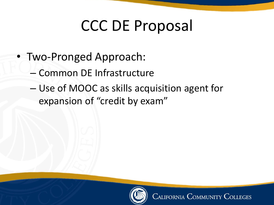## CCC DE Proposal

- Two-Pronged Approach:
	- Common DE Infrastructure
	- Use of MOOC as skills acquisition agent for expansion of "credit by exam"

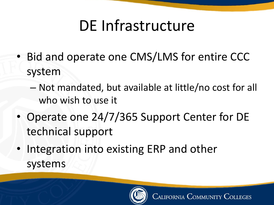## DE Infrastructure

- Bid and operate one CMS/LMS for entire CCC system
	- Not mandated, but available at little/no cost for all who wish to use it
- Operate one 24/7/365 Support Center for DE technical support
- Integration into existing ERP and other systems

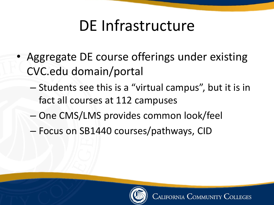## DE Infrastructure

- Aggregate DE course offerings under existing CVC.edu domain/portal
	- Students see this is a "virtual campus", but it is in fact all courses at 112 campuses
	- One CMS/LMS provides common look/feel
	- Focus on SB1440 courses/pathways, CID

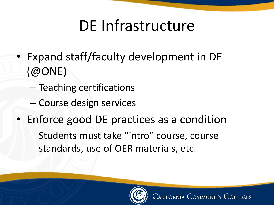## DE Infrastructure

- Expand staff/faculty development in DE (@ONE)
	- Teaching certifications
	- Course design services
- Enforce good DE practices as a condition
	- Students must take "intro" course, course standards, use of OER materials, etc.

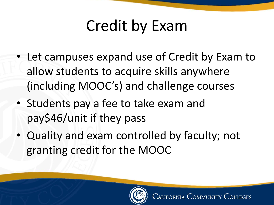# Credit by Exam

- Let campuses expand use of Credit by Exam to allow students to acquire skills anywhere (including MOOC's) and challenge courses
- Students pay a fee to take exam and pay\$46/unit if they pass
- Quality and exam controlled by faculty; not granting credit for the MOOC